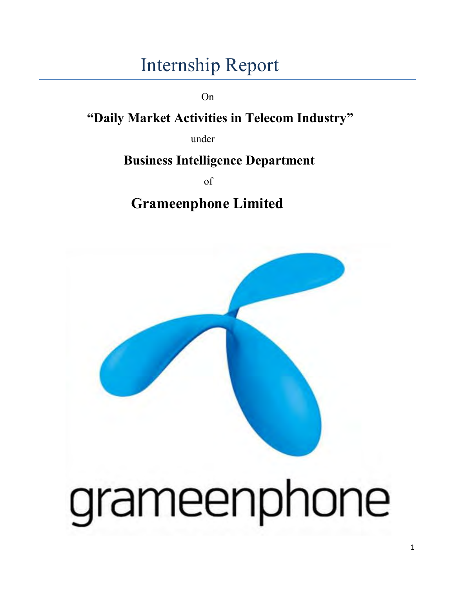### Internship Report

On

### **"Daily Market Activities in Telecom Industry"**

under

### **Business Intelligence Department**

of

**Grameenphone Limited** 

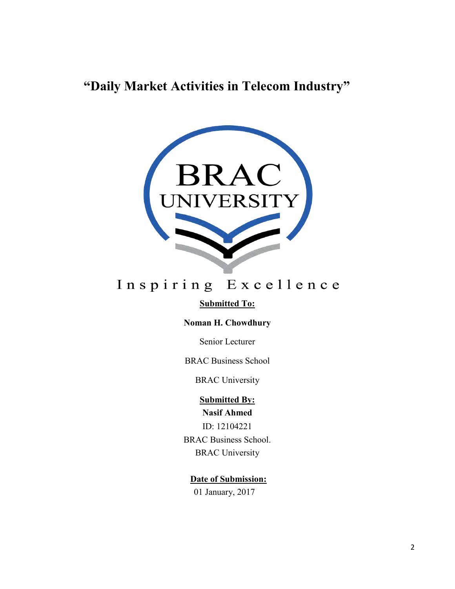### **"Daily Market Activities in Telecom Industry"**



### Inspiring Excellence

#### **Submitted To:**

#### **Noman H. Chowdhury**

Senior Lecturer

#### BRAC Business School

#### BRAC University

#### **Submitted By: Nasif Ahmed**

ID: 12104221

BRAC Business School. BRAC University

#### **Date of Submission:** 01 January, 2017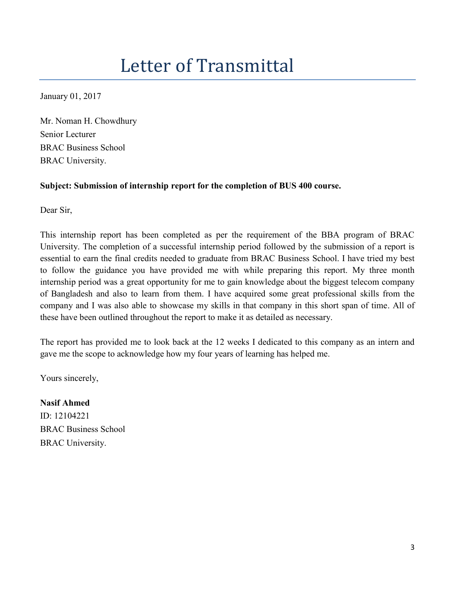## Letter of Transmittal

January 01, 2017

Mr. Noman H. Chowdhury Senior Lecturer BRAC Business School BRAC University.

#### **Subject: Submission of internship report for the completion of BUS 400 course.**

Dear Sir,

This internship report has been completed as per the requirement of the BBA program of BRAC University. The completion of a successful internship period followed by the submission of a report is essential to earn the final credits needed to graduate from BRAC Business School. I have tried my best to follow the guidance you have provided me with while preparing this report. My three month internship period was a great opportunity for me to gain knowledge about the biggest telecom company of Bangladesh and also to learn from them. I have acquired some great professional skills from the company and I was also able to showcase my skills in that company in this short span of time. All of these have been outlined throughout the report to make it as detailed as necessary.

The report has provided me to look back at the 12 weeks I dedicated to this company as an intern and gave me the scope to acknowledge how my four years of learning has helped me.

Yours sincerely,

**Nasif Ahmed** ID: 12104221 BRAC Business School BRAC University.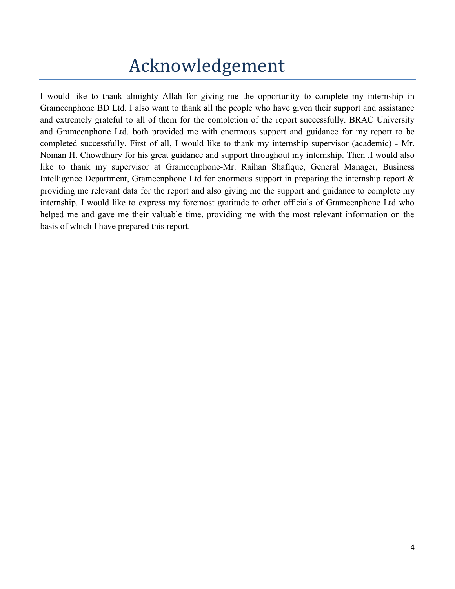## Acknowledgement

I would like to thank almighty Allah for giving me the opportunity to complete my internship in Grameenphone BD Ltd. I also want to thank all the people who have given their support and assistance and extremely grateful to all of them for the completion of the report successfully. BRAC University and Grameenphone Ltd. both provided me with enormous support and guidance for my report to be completed successfully. First of all, I would like to thank my internship supervisor (academic) - Mr. Noman H. Chowdhury for his great guidance and support throughout my internship. Then ,I would also like to thank my supervisor at Grameenphone-Mr. Raihan Shafique, General Manager, Business Intelligence Department, Grameenphone Ltd for enormous support in preparing the internship report & providing me relevant data for the report and also giving me the support and guidance to complete my internship. I would like to express my foremost gratitude to other officials of Grameenphone Ltd who helped me and gave me their valuable time, providing me with the most relevant information on the basis of which I have prepared this report.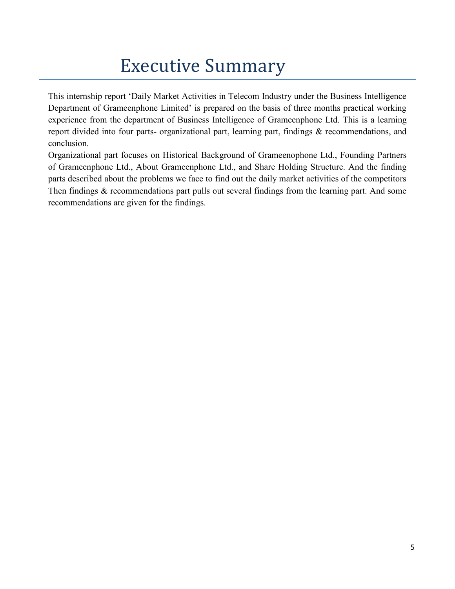### Executive Summary

This internship report 'Daily Market Activities in Telecom Industry under the Business Intelligence Department of Grameenphone Limited' is prepared on the basis of three months practical working experience from the department of Business Intelligence of Grameenphone Ltd. This is a learning report divided into four parts- organizational part, learning part, findings & recommendations, and conclusion.

Organizational part focuses on Historical Background of Grameenophone Ltd., Founding Partners of Grameenphone Ltd., About Grameenphone Ltd., and Share Holding Structure. And the finding parts described about the problems we face to find out the daily market activities of the competitors Then findings & recommendations part pulls out several findings from the learning part. And some recommendations are given for the findings.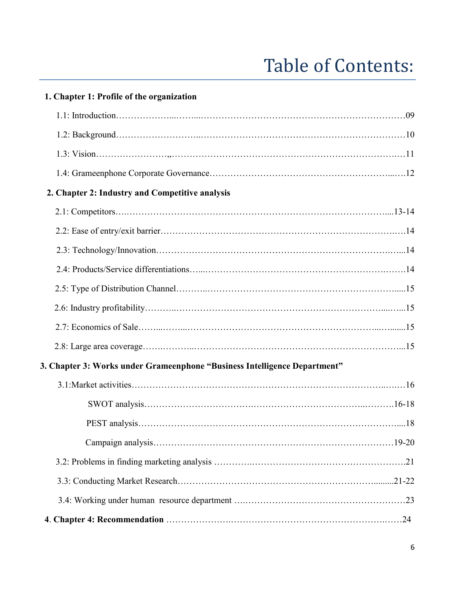## Table of Contents:

| 1. Chapter 1: Profile of the organization                                 |
|---------------------------------------------------------------------------|
|                                                                           |
|                                                                           |
|                                                                           |
|                                                                           |
| 2. Chapter 2: Industry and Competitive analysis                           |
|                                                                           |
|                                                                           |
|                                                                           |
|                                                                           |
|                                                                           |
|                                                                           |
|                                                                           |
|                                                                           |
| 3. Chapter 3: Works under Grameenphone "Business Intelligence Department" |
|                                                                           |
|                                                                           |
|                                                                           |
|                                                                           |
|                                                                           |
|                                                                           |
|                                                                           |
|                                                                           |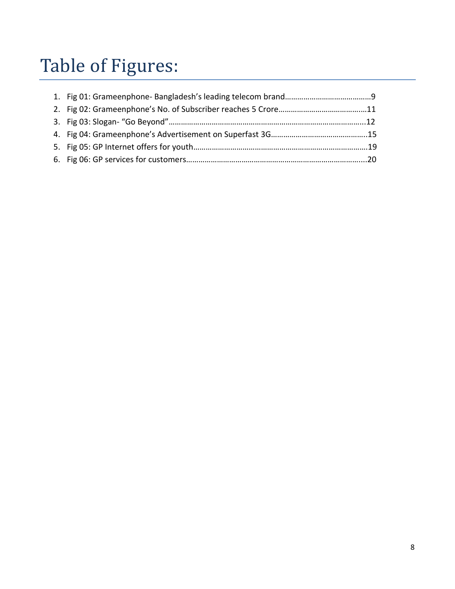# Table of Figures: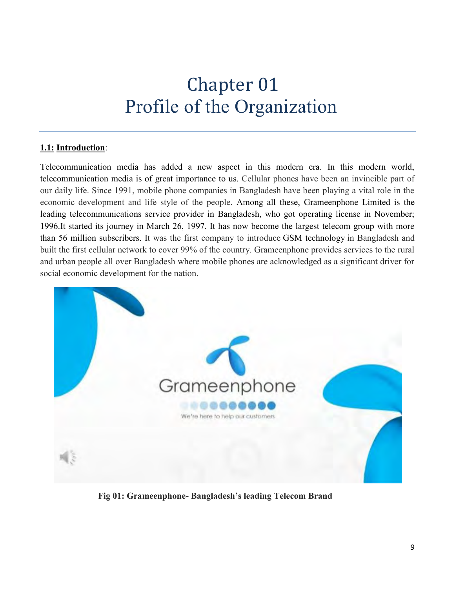### Chapter 01 Profile of the Organization

#### **1.1: Introduction**:

Telecommunication media has added a new aspect in this modern era. In this modern world, telecommunication media is of great importance to us. Cellular phones have been an invincible part of our daily life. Since 1991, mobile phone companies in Bangladesh have been playing a vital role in the economic development and life style of the people. Among all these, Grameenphone Limited is the leading telecommunications service provider in Bangladesh, who got operating license in November; 1996.It started its journey in March 26, 1997. It has now become the largest telecom group with more than 56 million subscribers. It was the first company to introduce GSM technology in Bangladesh and built the first cellular network to cover 99% of the country. Grameenphone provides services to the rural and urban people all over Bangladesh where mobile phones are acknowledged as a significant driver for social economic development for the nation.



 **Fig 01: Grameenphone- Bangladesh's leading Telecom Brand**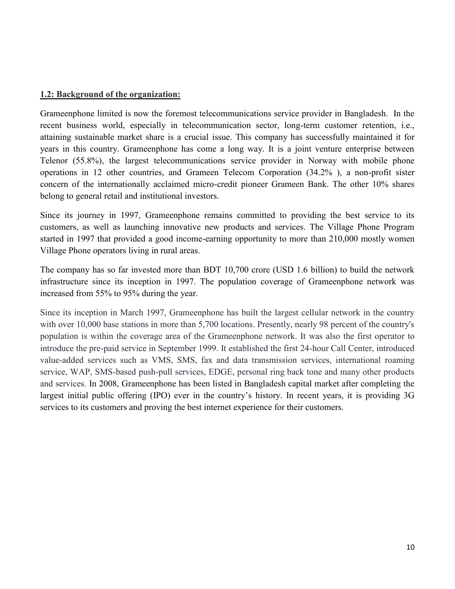#### **1.2: Background of the organization:**

Grameenphone limited is now the foremost telecommunications service provider in Bangladesh. In the recent business world, especially in telecommunication sector, long-term customer retention, i.e., attaining sustainable market share is a crucial issue. This company has successfully maintained it for years in this country. Grameenphone has come a long way. It is a joint venture enterprise between Telenor (55.8%), the largest telecommunications service provider in Norway with mobile phone operations in 12 other countries, and Grameen Telecom Corporation (34.2% ), a non-profit sister concern of the internationally acclaimed micro-credit pioneer Grameen Bank. The other 10% shares belong to general retail and institutional investors.

Since its journey in 1997, Grameenphone remains committed to providing the best service to its customers, as well as launching innovative new products and services. The Village Phone Program started in 1997 that provided a good income-earning opportunity to more than 210,000 mostly women Village Phone operators living in rural areas.

The company has so far invested more than BDT 10,700 crore (USD 1.6 billion) to build the network infrastructure since its inception in 1997. The population coverage of Grameenphone network was increased from 55% to 95% during the year.

Since its inception in March 1997, Grameenphone has built the largest cellular network in the country with over 10,000 base stations in more than 5,700 locations. Presently, nearly 98 percent of the country's population is within the coverage area of the Grameenphone network. It was also the first operator to introduce the pre-paid service in September 1999. It established the first 24-hour Call Center, introduced value-added services such as VMS, SMS, fax and data transmission services, international roaming service, WAP, SMS-based push-pull services, EDGE, personal ring back tone and many other products and services. In 2008, Grameenphone has been listed in Bangladesh capital market after completing the largest initial public offering (IPO) ever in the country's history. In recent years, it is providing 3G services to its customers and proving the best internet experience for their customers.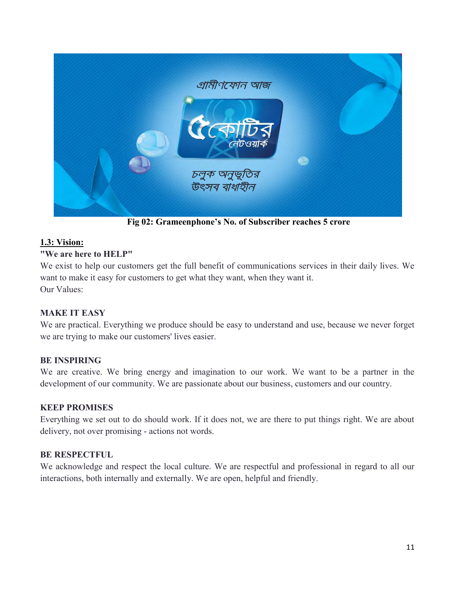

 **Fig 02: Grameenphone's No. of Subscriber reaches 5 crore** 

#### **1.3: Vision:**

#### **"We are here to HELP"**

We exist to help our customers get the full benefit of communications services in their daily lives. We want to make it easy for customers to get what they want, when they want it. Our Values:

#### **MAKE IT EASY**

We are practical. Everything we produce should be easy to understand and use, because we never forget we are trying to make our customers' lives easier.

#### **BE INSPIRING**

We are creative. We bring energy and imagination to our work. We want to be a partner in the development of our community. We are passionate about our business, customers and our country.

#### **KEEP PROMISES**

Everything we set out to do should work. If it does not, we are there to put things right. We are about delivery, not over promising - actions not words.

#### **BE RESPECTFUL**

We acknowledge and respect the local culture. We are respectful and professional in regard to all our interactions, both internally and externally. We are open, helpful and friendly.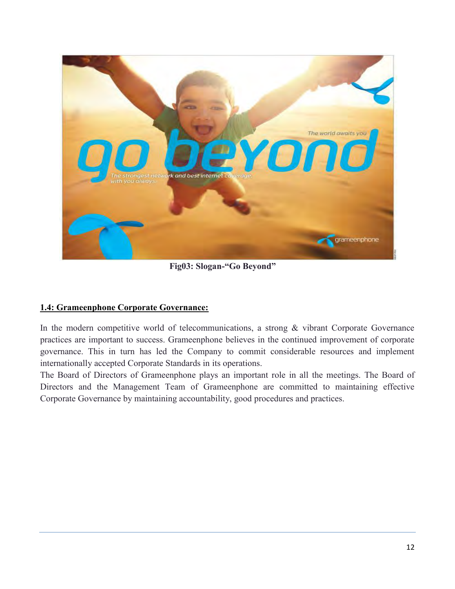

 **Fig03: Slogan-"Go Beyond"** 

#### **1.4: Grameenphone Corporate Governance:**

In the modern competitive world of telecommunications, a strong & vibrant Corporate Governance practices are important to success. Grameenphone believes in the continued improvement of corporate governance. This in turn has led the Company to commit considerable resources and implement internationally accepted Corporate Standards in its operations.

The Board of Directors of Grameenphone plays an important role in all the meetings. The Board of Directors and the Management Team of Grameenphone are committed to maintaining effective Corporate Governance by maintaining accountability, good procedures and practices.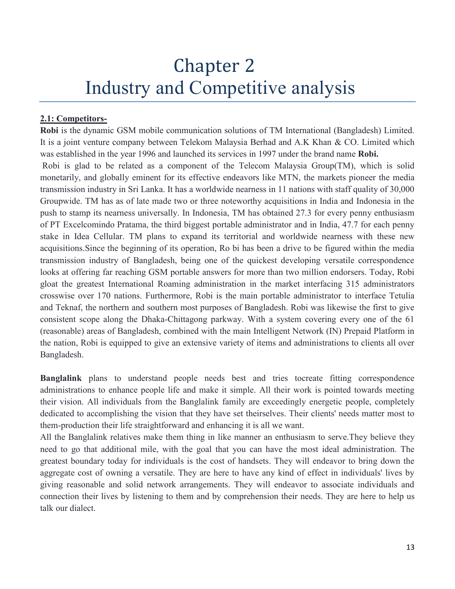### Chapter 2 Industry and Competitive analysis

#### **2.1: Competitors-**

**Robi** is the dynamic GSM mobile communication solutions of TM International (Bangladesh) Limited. It is a joint venture company between Telekom Malaysia Berhad and A.K Khan & CO. Limited which was established in the year 1996 and launched its services in 1997 under the brand name **Robi.**

Robi is glad to be related as a component of the Telecom Malaysia Group(TM), which is solid monetarily, and globally eminent for its effective endeavors like MTN, the markets pioneer the media transmission industry in Sri Lanka. It has a worldwide nearness in 11 nations with staff quality of 30,000 Groupwide. TM has as of late made two or three noteworthy acquisitions in India and Indonesia in the push to stamp its nearness universally. In Indonesia, TM has obtained 27.3 for every penny enthusiasm of PT Excelcomindo Pratama, the third biggest portable administrator and in India, 47.7 for each penny stake in Idea Cellular. TM plans to expand its territorial and worldwide nearness with these new acquisitions.Since the beginning of its operation, Ro bi has been a drive to be figured within the media transmission industry of Bangladesh, being one of the quickest developing versatile correspondence looks at offering far reaching GSM portable answers for more than two million endorsers. Today, Robi gloat the greatest International Roaming administration in the market interfacing 315 administrators crosswise over 170 nations. Furthermore, Robi is the main portable administrator to interface Tetulia and Teknaf, the northern and southern most purposes of Bangladesh. Robi was likewise the first to give consistent scope along the Dhaka-Chittagong parkway. With a system covering every one of the 61 (reasonable) areas of Bangladesh, combined with the main Intelligent Network (IN) Prepaid Platform in the nation, Robi is equipped to give an extensive variety of items and administrations to clients all over Bangladesh.

**Banglalink** plans to understand people needs best and tries tocreate fitting correspondence administrations to enhance people life and make it simple. All their work is pointed towards meeting their vision. All individuals from the Banglalink family are exceedingly energetic people, completely dedicated to accomplishing the vision that they have set theirselves. Their clients' needs matter most to them-production their life straightforward and enhancing it is all we want.

All the Banglalink relatives make them thing in like manner an enthusiasm to serve.They believe they need to go that additional mile, with the goal that you can have the most ideal administration. The greatest boundary today for individuals is the cost of handsets. They will endeavor to bring down the aggregate cost of owning a versatile. They are here to have any kind of effect in individuals' lives by giving reasonable and solid network arrangements. They will endeavor to associate individuals and connection their lives by listening to them and by comprehension their needs. They are here to help us talk our dialect.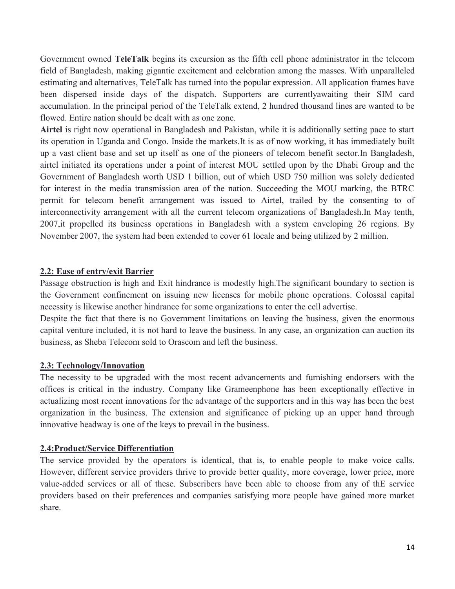Government owned **TeleTalk** begins its excursion as the fifth cell phone administrator in the telecom field of Bangladesh, making gigantic excitement and celebration among the masses. With unparalleled estimating and alternatives, TeleTalk has turned into the popular expression. All application frames have been dispersed inside days of the dispatch. Supporters are currentlyawaiting their SIM card accumulation. In the principal period of the TeleTalk extend, 2 hundred thousand lines are wanted to be flowed. Entire nation should be dealt with as one zone.

**Airtel** is right now operational in Bangladesh and Pakistan, while it is additionally setting pace to start its operation in Uganda and Congo. Inside the markets.It is as of now working, it has immediately built up a vast client base and set up itself as one of the pioneers of telecom benefit sector.In Bangladesh, airtel initiated its operations under a point of interest MOU settled upon by the Dhabi Group and the Government of Bangladesh worth USD 1 billion, out of which USD 750 million was solely dedicated for interest in the media transmission area of the nation. Succeeding the MOU marking, the BTRC permit for telecom benefit arrangement was issued to Airtel, trailed by the consenting to of interconnectivity arrangement with all the current telecom organizations of Bangladesh.In May tenth, 2007,it propelled its business operations in Bangladesh with a system enveloping 26 regions. By November 2007, the system had been extended to cover 61 locale and being utilized by 2 million.

#### **2.2: Ease of entry/exit Barrier**

Passage obstruction is high and Exit hindrance is modestly high.The significant boundary to section is the Government confinement on issuing new licenses for mobile phone operations. Colossal capital necessity is likewise another hindrance for some organizations to enter the cell advertise.

Despite the fact that there is no Government limitations on leaving the business, given the enormous capital venture included, it is not hard to leave the business. In any case, an organization can auction its business, as Sheba Telecom sold to Orascom and left the business.

#### **2.3: Technology/Innovation**

The necessity to be upgraded with the most recent advancements and furnishing endorsers with the offices is critical in the industry. Company like Grameenphone has been exceptionally effective in actualizing most recent innovations for the advantage of the supporters and in this way has been the best organization in the business. The extension and significance of picking up an upper hand through innovative headway is one of the keys to prevail in the business.

#### **2.4:Product/Service Differentiation**

The service provided by the operators is identical, that is, to enable people to make voice calls. However, different service providers thrive to provide better quality, more coverage, lower price, more value-added services or all of these. Subscribers have been able to choose from any of thE service providers based on their preferences and companies satisfying more people have gained more market share.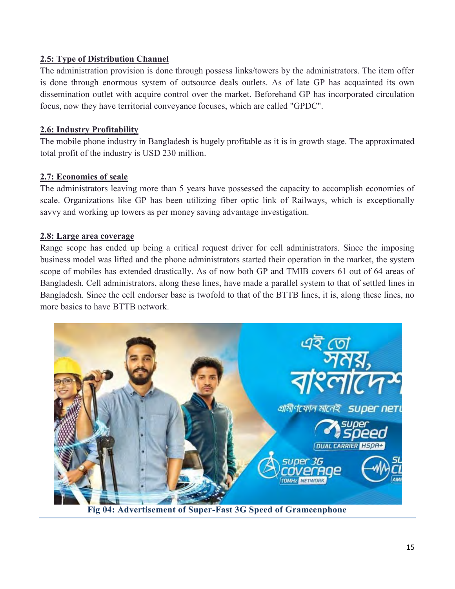#### **2.5: Type of Distribution Channel**

The administration provision is done through possess links/towers by the administrators. The item offer is done through enormous system of outsource deals outlets. As of late GP has acquainted its own dissemination outlet with acquire control over the market. Beforehand GP has incorporated circulation focus, now they have territorial conveyance focuses, which are called "GPDC".

#### **2.6: Industry Profitability**

The mobile phone industry in Bangladesh is hugely profitable as it is in growth stage. The approximated total profit of the industry is USD 230 million.

#### **2.7: Economics of scale**

The administrators leaving more than 5 years have possessed the capacity to accomplish economies of scale. Organizations like GP has been utilizing fiber optic link of Railways, which is exceptionally savvy and working up towers as per money saving advantage investigation.

#### **2.8: Large area coverage**

Range scope has ended up being a critical request driver for cell administrators. Since the imposing business model was lifted and the phone administrators started their operation in the market, the system scope of mobiles has extended drastically. As of now both GP and TMIB covers 61 out of 64 areas of Bangladesh. Cell administrators, along these lines, have made a parallel system to that of settled lines in Bangladesh. Since the cell endorser base is twofold to that of the BTTB lines, it is, along these lines, no more basics to have BTTB network.



**Fig 04: Advertisement of Super-Fast 3G Speed of Grameenphone**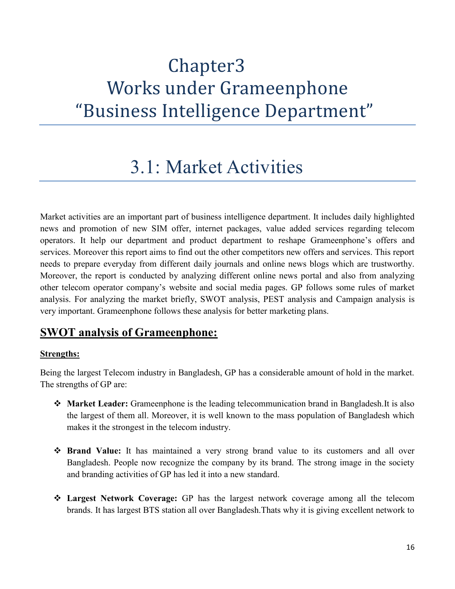## Chapter3 Works under Grameenphone "Business Intelligence Department"

### 3.1: Market Activities

Market activities are an important part of business intelligence department. It includes daily highlighted news and promotion of new SIM offer, internet packages, value added services regarding telecom operators. It help our department and product department to reshape Grameenphone's offers and services. Moreover this report aims to find out the other competitors new offers and services. This report needs to prepare everyday from different daily journals and online news blogs which are trustworthy. Moreover, the report is conducted by analyzing different online news portal and also from analyzing other telecom operator company's website and social media pages. GP follows some rules of market analysis. For analyzing the market briefly, SWOT analysis, PEST analysis and Campaign analysis is very important. Grameenphone follows these analysis for better marketing plans.

### **SWOT analysis of Grameenphone:**

#### **Strengths:**

Being the largest Telecom industry in Bangladesh, GP has a considerable amount of hold in the market. The strengths of GP are:

- **Market Leader:** Grameenphone is the leading telecommunication brand in Bangladesh.It is also the largest of them all. Moreover, it is well known to the mass population of Bangladesh which makes it the strongest in the telecom industry.
- $\triangle$  **Brand Value:** It has maintained a very strong brand value to its customers and all over Bangladesh. People now recognize the company by its brand. The strong image in the society and branding activities of GP has led it into a new standard.
- **Largest Network Coverage:** GP has the largest network coverage among all the telecom brands. It has largest BTS station all over Bangladesh.Thats why it is giving excellent network to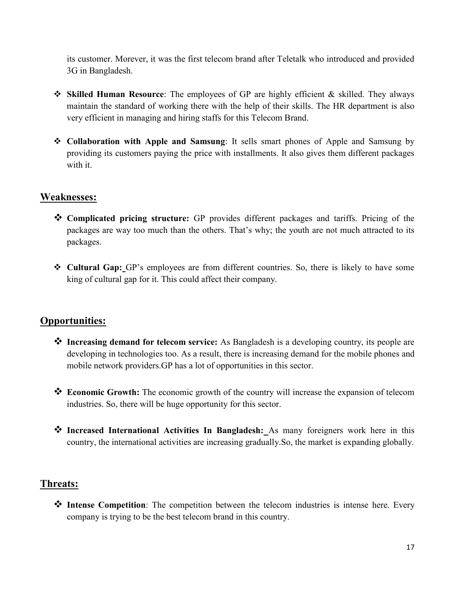its customer. Morever, it was the first telecom brand after Teletalk who introduced and provided 3G in Bangladesh.

- **Skilled Human Resource**: The employees of GP are highly efficient & skilled. They always maintain the standard of working there with the help of their skills. The HR department is also very efficient in managing and hiring staffs for this Telecom Brand.
- **Collaboration with Apple and Samsung**: It sells smart phones of Apple and Samsung by providing its customers paying the price with installments. It also gives them different packages with it.

#### **Weaknesses:**

- **Complicated pricing structure:** GP provides different packages and tariffs. Pricing of the packages are way too much than the others. That's why; the youth are not much attracted to its packages.
- **Cultural Gap:** GP's employees are from different countries. So, there is likely to have some king of cultural gap for it. This could affect their company.

#### **Opportunities:**

- **<sup>❖</sup> Increasing demand for telecom service:** As Bangladesh is a developing country, its people are developing in technologies too. As a result, there is increasing demand for the mobile phones and mobile network providers.GP has a lot of opportunities in this sector.
- **Economic Growth:** The economic growth of the country will increase the expansion of telecom industries. So, there will be huge opportunity for this sector.
- **Increased International Activities In Bangladesh:** As many foreigners work here in this country, the international activities are increasing gradually.So, the market is expanding globally.

#### **Threats:**

◆ Intense Competition: The competition between the telecom industries is intense here. Every company is trying to be the best telecom brand in this country.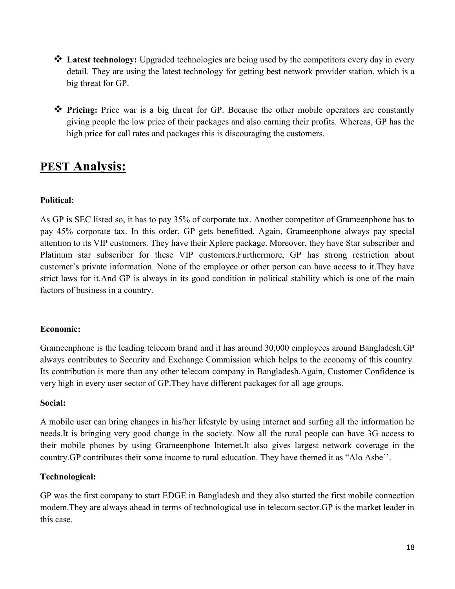- **Latest technology:** Upgraded technologies are being used by the competitors every day in every detail. They are using the latest technology for getting best network provider station, which is a big threat for GP.
- **Pricing:** Price war is a big threat for GP. Because the other mobile operators are constantly giving people the low price of their packages and also earning their profits. Whereas, GP has the high price for call rates and packages this is discouraging the customers.

### **PEST Analysis:**

#### **Political:**

As GP is SEC listed so, it has to pay 35% of corporate tax. Another competitor of Grameenphone has to pay 45% corporate tax. In this order, GP gets benefitted. Again, Grameenphone always pay special attention to its VIP customers. They have their Xplore package. Moreover, they have Star subscriber and Platinum star subscriber for these VIP customers.Furthermore, GP has strong restriction about customer's private information. None of the employee or other person can have access to it.They have strict laws for it.And GP is always in its good condition in political stability which is one of the main factors of business in a country.

#### **Economic:**

Grameenphone is the leading telecom brand and it has around 30,000 employees around Bangladesh.GP always contributes to Security and Exchange Commission which helps to the economy of this country. Its contribution is more than any other telecom company in Bangladesh.Again, Customer Confidence is very high in every user sector of GP.They have different packages for all age groups.

#### **Social:**

A mobile user can bring changes in his/her lifestyle by using internet and surfing all the information he needs.It is bringing very good change in the society. Now all the rural people can have 3G access to their mobile phones by using Grameenphone Internet.It also gives largest network coverage in the country.GP contributes their some income to rural education. They have themed it as "Alo Asbe''.

#### **Technological:**

GP was the first company to start EDGE in Bangladesh and they also started the first mobile connection modem.They are always ahead in terms of technological use in telecom sector.GP is the market leader in this case.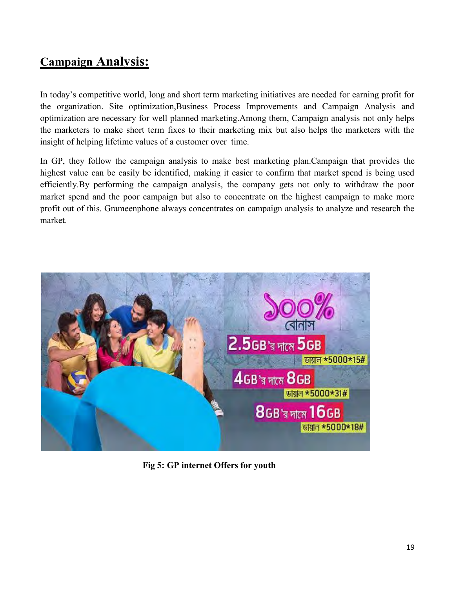### **Campaign Analysis:**

In today's competitive world, long and short term marketing initiatives are needed for earning profit for the organization. Site optimization,Business Process Improvements and Campaign Analysis and optimization are necessary for well planned marketing.Among them, Campaign analysis not only helps the marketers to make short term fixes to their marketing mix but also helps the marketers with the insight of helping lifetime values of a customer over time.

In GP, they follow the campaign analysis to make best marketing plan.Campaign that provides the highest value can be easily be identified, making it easier to confirm that market spend is being used efficiently.By performing the campaign analysis, the company gets not only to withdraw the poor market spend and the poor campaign but also to concentrate on the highest campaign to make more profit out of this. Grameenphone always concentrates on campaign analysis to analyze and research the market.



 **Fig 5: GP internet Offers for youth**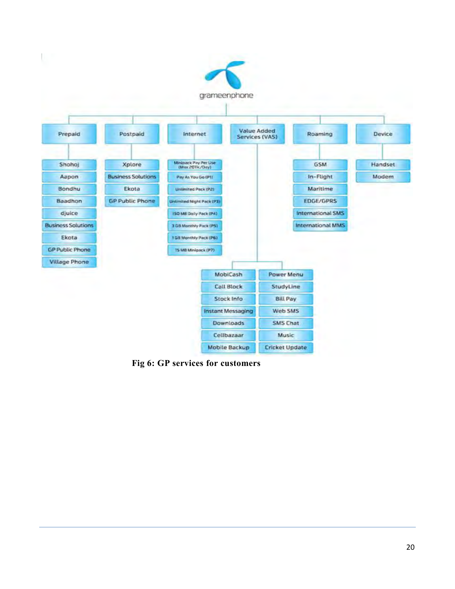

 **Fig 6: GP services for customers**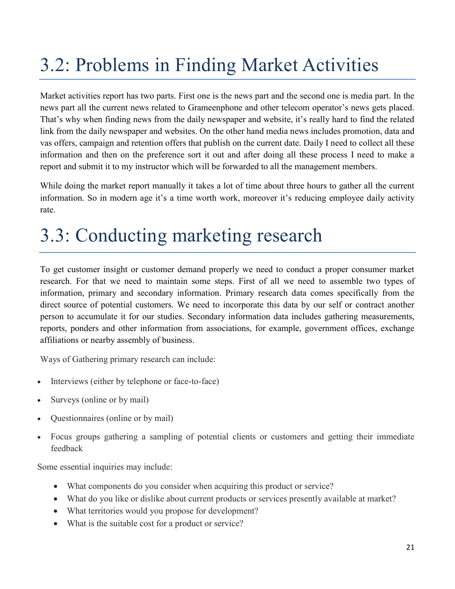## 3.2: Problems in Finding Market Activities

Market activities report has two parts. First one is the news part and the second one is media part. In the news part all the current news related to Grameenphone and other telecom operator's news gets placed. That's why when finding news from the daily newspaper and website, it's really hard to find the related link from the daily newspaper and websites. On the other hand media news includes promotion, data and vas offers, campaign and retention offers that publish on the current date. Daily I need to collect all these information and then on the preference sort it out and after doing all these process I need to make a report and submit it to my instructor which will be forwarded to all the management members.

While doing the market report manually it takes a lot of time about three hours to gather all the current information. So in modern age it's a time worth work, moreover it's reducing employee daily activity rate.

## 3.3: Conducting marketing research

To get customer insight or customer demand properly we need to conduct a proper consumer market research. For that we need to maintain some steps. First of all we need to assemble two types of information, primary and secondary information. Primary research data comes specifically from the direct source of potential customers. We need to incorporate this data by our self or contract another person to accumulate it for our studies. Secondary information data includes gathering measurements, reports, ponders and other information from associations, for example, government offices, exchange affiliations or nearby assembly of business.

Ways of Gathering primary research can include:

- Interviews (either by telephone or face-to-face)
- Surveys (online or by mail)
- Questionnaires (online or by mail)
- Focus groups gathering a sampling of potential clients or customers and getting their immediate feedback

Some essential inquiries may include:

- What components do you consider when acquiring this product or service?
- What do you like or dislike about current products or services presently available at market?
- What territories would you propose for development?
- What is the suitable cost for a product or service?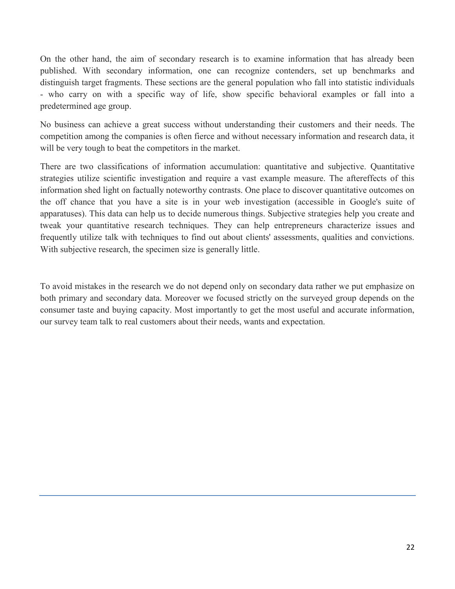On the other hand, the aim of secondary research is to examine information that has already been published. With secondary information, one can recognize contenders, set up benchmarks and distinguish target fragments. These sections are the general population who fall into statistic individuals - who carry on with a specific way of life, show specific behavioral examples or fall into a predetermined age group.

No business can achieve a great success without understanding their customers and their needs. The competition among the companies is often fierce and without necessary information and research data, it will be very tough to beat the competitors in the market.

There are two classifications of information accumulation: quantitative and subjective. Quantitative strategies utilize scientific investigation and require a vast example measure. The aftereffects of this information shed light on factually noteworthy contrasts. One place to discover quantitative outcomes on the off chance that you have a site is in your web investigation (accessible in Google's suite of apparatuses). This data can help us to decide numerous things. Subjective strategies help you create and tweak your quantitative research techniques. They can help entrepreneurs characterize issues and frequently utilize talk with techniques to find out about clients' assessments, qualities and convictions. With subjective research, the specimen size is generally little.

To avoid mistakes in the research we do not depend only on secondary data rather we put emphasize on both primary and secondary data. Moreover we focused strictly on the surveyed group depends on the consumer taste and buying capacity. Most importantly to get the most useful and accurate information, our survey team talk to real customers about their needs, wants and expectation.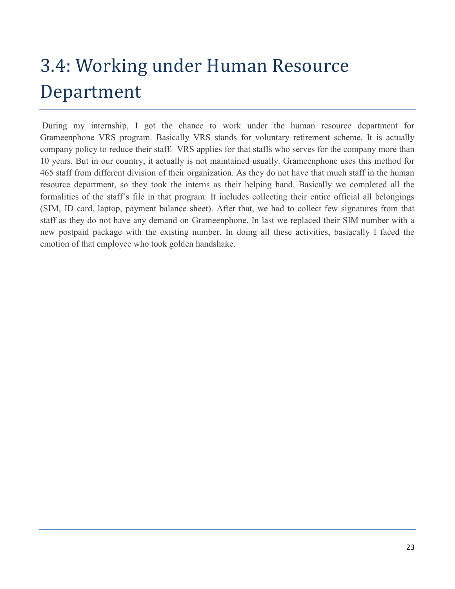# 3.4: Working under Human Resource Department

During my internship, I got the chance to work under the human resource department for Grameenphone VRS program. Basically VRS stands for voluntary retirement scheme. It is actually company policy to reduce their staff. VRS applies for that staffs who serves for the company more than 10 years. But in our country, it actually is not maintained usually. Grameenphone uses this method for 465 staff from different division of their organization. As they do not have that much staff in the human resource department, so they took the interns as their helping hand. Basically we completed all the formalities of the staff's file in that program. It includes collecting their entire official all belongings (SIM, ID card, laptop, payment balance sheet). After that, we had to collect few signatures from that staff as they do not have any demand on Grameenphone. In last we replaced their SIM number with a new postpaid package with the existing number. In doing all these activities, basiacally I faced the emotion of that employee who took golden handshake.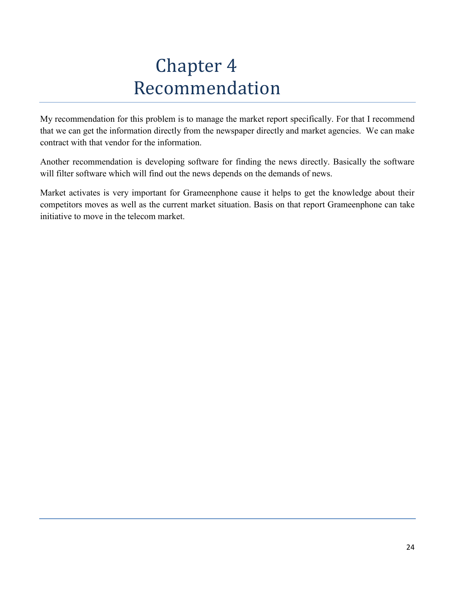## Chapter 4 Recommendation

My recommendation for this problem is to manage the market report specifically. For that I recommend that we can get the information directly from the newspaper directly and market agencies. We can make contract with that vendor for the information.

Another recommendation is developing software for finding the news directly. Basically the software will filter software which will find out the news depends on the demands of news.

Market activates is very important for Grameenphone cause it helps to get the knowledge about their competitors moves as well as the current market situation. Basis on that report Grameenphone can take initiative to move in the telecom market.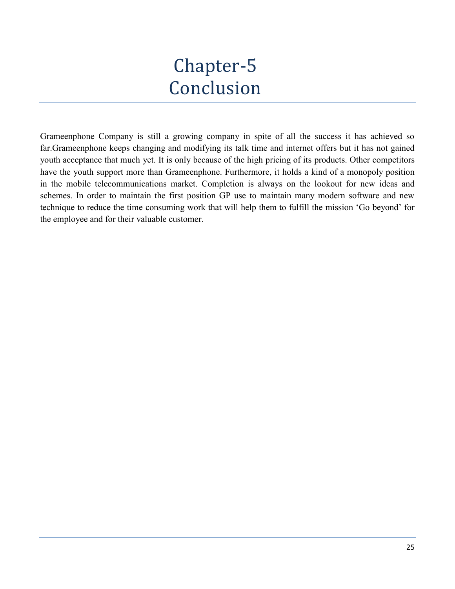## Chapter-5 Conclusion

Grameenphone Company is still a growing company in spite of all the success it has achieved so far.Grameenphone keeps changing and modifying its talk time and internet offers but it has not gained youth acceptance that much yet. It is only because of the high pricing of its products. Other competitors have the youth support more than Grameenphone. Furthermore, it holds a kind of a monopoly position in the mobile telecommunications market. Completion is always on the lookout for new ideas and schemes. In order to maintain the first position GP use to maintain many modern software and new technique to reduce the time consuming work that will help them to fulfill the mission 'Go beyond' for the employee and for their valuable customer.